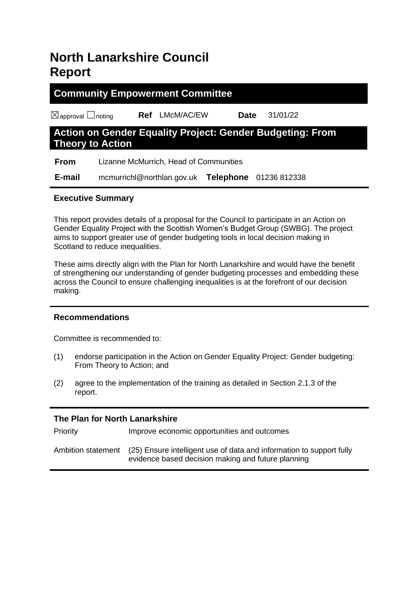# **North Lanarkshire Council Report**

# **Community Empowerment Committee** ☒approval ☐noting **Ref** LMcM/AC/EW **Date** 31/01/22

# **Action on Gender Equality Project: Gender Budgeting: From Theory to Action**

 **From** Lizanne McMurrich, Head of Communities

 **E-mail** mcmurrichl@northlan.gov.uk **Telephone** 01236 812338

### **Executive Summary**

This report provides details of a proposal for the Council to participate in an Action on Gender Equality Project with the Scottish Women's Budget Group (SWBG). The project aims to support greater use of gender budgeting tools in local decision making in Scotland to reduce inequalities.

These aims directly align with the Plan for North Lanarkshire and would have the benefit of strengthening our understanding of gender budgeting processes and embedding these across the Council to ensure challenging inequalities is at the forefront of our decision making.

# **Recommendations**

Committee is recommended to:

- (1) endorse participation in the Action on Gender Equality Project: Gender budgeting: From Theory to Action; and
- (2) agree to the implementation of the training as detailed in Section 2.1.3 of the report.

# **The Plan for North Lanarkshire**

| <b>PHOIRY</b>      | improve economic opportunities and outcomes                                                                                |
|--------------------|----------------------------------------------------------------------------------------------------------------------------|
| Ambition statement | (25) Ensure intelligent use of data and information to support fully<br>evidence based decision making and future planning |

Priority Improve economic opportunities and outcomes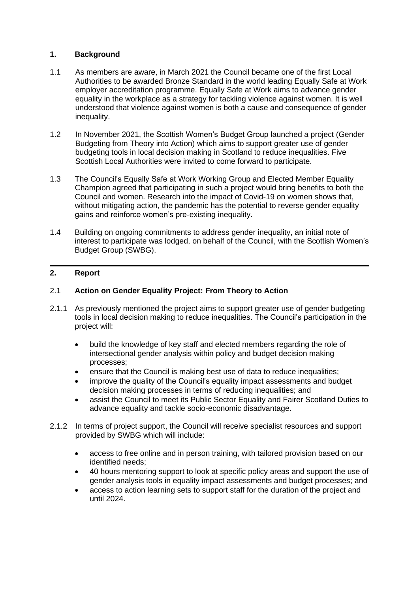#### **1. Background**

- 1.1 As members are aware, in March 2021 the Council became one of the first Local Authorities to be awarded Bronze Standard in the world leading Equally Safe at Work employer accreditation programme. Equally Safe at Work aims to advance gender equality in the workplace as a strategy for tackling violence against women. It is well understood that violence against women is both a cause and consequence of gender inequality.
- 1.2 In November 2021, the Scottish Women's Budget Group launched a project (Gender Budgeting from Theory into Action) which aims to support greater use of gender budgeting tools in local decision making in Scotland to reduce inequalities. Five Scottish Local Authorities were invited to come forward to participate.
- 1.3 The Council's Equally Safe at Work Working Group and Elected Member Equality Champion agreed that participating in such a project would bring benefits to both the Council and women. Research into the impact of Covid-19 on women shows that, without mitigating action, the pandemic has the potential to reverse gender equality gains and reinforce women's pre-existing inequality.
- 1.4 Building on ongoing commitments to address gender inequality, an initial note of interest to participate was lodged, on behalf of the Council, with the Scottish Women's Budget Group (SWBG).

#### **2. Report**

#### 2.1 **Action on Gender Equality Project: From Theory to Action**

- 2.1.1 As previously mentioned the project aims to support greater use of gender budgeting tools in local decision making to reduce inequalities. The Council's participation in the project will:
	- build the knowledge of key staff and elected members regarding the role of intersectional gender analysis within policy and budget decision making processes;
	- ensure that the Council is making best use of data to reduce inequalities;
	- improve the quality of the Council's equality impact assessments and budget decision making processes in terms of reducing inequalities; and
	- assist the Council to meet its Public Sector Equality and Fairer Scotland Duties to advance equality and tackle socio-economic disadvantage.
- 2.1.2 In terms of project support, the Council will receive specialist resources and support provided by SWBG which will include:
	- access to free online and in person training, with tailored provision based on our identified needs;
	- 40 hours mentoring support to look at specific policy areas and support the use of gender analysis tools in equality impact assessments and budget processes; and
	- access to action learning sets to support staff for the duration of the project and until 2024.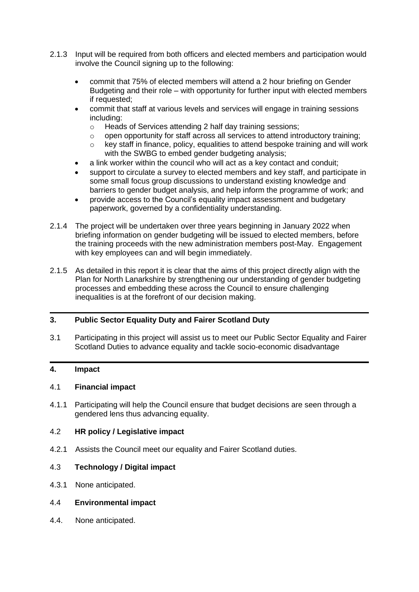- 2.1.3 Input will be required from both officers and elected members and participation would involve the Council signing up to the following:
	- commit that 75% of elected members will attend a 2 hour briefing on Gender Budgeting and their role – with opportunity for further input with elected members if requested;
	- commit that staff at various levels and services will engage in training sessions including:
		- o Heads of Services attending 2 half day training sessions;
		- o open opportunity for staff across all services to attend introductory training;
		- $\circ$  key staff in finance, policy, equalities to attend bespoke training and will work with the SWBG to embed gender budgeting analysis;
	- a link worker within the council who will act as a key contact and conduit;
	- support to circulate a survey to elected members and key staff, and participate in some small focus group discussions to understand existing knowledge and barriers to gender budget analysis, and help inform the programme of work; and
	- provide access to the Council's equality impact assessment and budgetary paperwork, governed by a confidentiality understanding.
- 2.1.4 The project will be undertaken over three years beginning in January 2022 when briefing information on gender budgeting will be issued to elected members, before the training proceeds with the new administration members post-May. Engagement with key employees can and will begin immediately.
- 2.1.5 As detailed in this report it is clear that the aims of this project directly align with the Plan for North Lanarkshire by strengthening our understanding of gender budgeting processes and embedding these across the Council to ensure challenging inequalities is at the forefront of our decision making.

#### **3. Public Sector Equality Duty and Fairer Scotland Duty**

3.1 Participating in this project will assist us to meet our Public Sector Equality and Fairer Scotland Duties to advance equality and tackle socio-economic disadvantage

#### **4. Impact**

#### 4.1 **Financial impact**

4.1.1 Participating will help the Council ensure that budget decisions are seen through a gendered lens thus advancing equality.

#### 4.2 **HR policy / Legislative impact**

4.2.1 Assists the Council meet our equality and Fairer Scotland duties.

#### 4.3 **Technology / Digital impact**

4.3.1 None anticipated.

#### 4.4 **Environmental impact**

4.4. None anticipated.